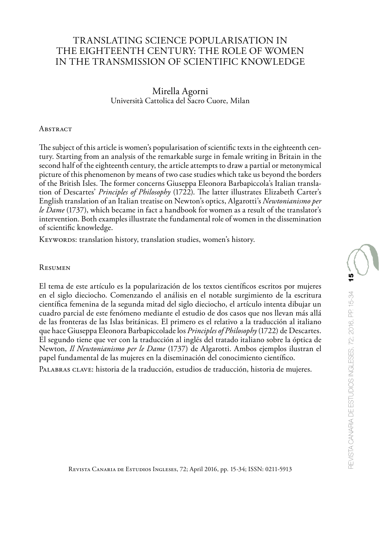# TRANSLATING SCIENCE POPULARISATION IN THE EIGHTEENTH CENTURY: THE ROLE OF WOMEN IN THE TRANSMISSION OF SCIENTIFIC KNOWLEDGE

Mirella Agorni Università Cattolica del Sacro Cuore, Milan

#### **ABSTRACT**

The subject of this article is women's popularisation of scientific texts in the eighteenth century. Starting from an analysis of the remarkable surge in female writing in Britain in the second half of the eighteenth century, the article attempts to draw a partial or metonymical picture of this phenomenon by means of two case studies which take us beyond the borders of the British Isles. The former concerns Giuseppa Eleonora Barbapiccola's Italian translation of Descartes' *Principles of Philosophy* (1722). The latter illustrates Elizabeth Carter's English translation of an Italian treatise on Newton's optics, Algarotti's *Newtonianismo per le Dame* (1737), which became in fact a handbook for women as a result of the translator's intervention. Both examples illustrate the fundamental role of women in the dissemination of scientific knowledge.

KEYWORDS: translation history, translation studies, women's history.

#### Resumen

El tema de este artículo es la popularización de los textos científicos escritos por mujeres en el siglo dieciocho. Comenzando el análisis en el notable surgimiento de la escritura científica femenina de la segunda mitad del siglo dieciocho, el artículo intenta dibujar un cuadro parcial de este fenómeno mediante el estudio de dos casos que nos llevan más allá de las fronteras de las Islas británicas. El primero es el relativo a la traducción al italiano que hace Giuseppa Eleonora Barbapiccolade los *Principles of Philosophy* (1722) de Descartes. El segundo tiene que ver con la traducción al inglés del tratado italiano sobre la óptica de Newton, *Il Newtonianismo per le Dame* (1737) de Algarotti. Ambos ejemplos ilustran el papel fundamental de las mujeres en la diseminación del conocimiento científico.

PALABRAS CLAVE: historia de la traducción, estudios de traducción, historia de mujeres.

Revista Canaria de Estudios Ingleses, 72; April 2016, pp. 15-34; ISSN: 0211-5913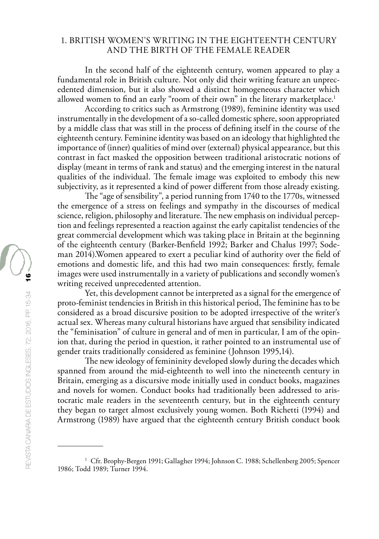### 1. BRITISH WOMEN'S WRITING IN THE EIGHTEENTH CENTURY AND THE BIRTH OF THE FEMALE READER

In the second half of the eighteenth century, women appeared to play a fundamental role in British culture. Not only did their writing feature an unprecedented dimension, but it also showed a distinct homogeneous character which allowed women to find an early "room of their own" in the literary marketplace.<sup>1</sup>

According to critics such as Armstrong (1989), feminine identity was used instrumentally in the development of a so-called domestic sphere, soon appropriated by a middle class that was still in the process of defining itself in the course of the eighteenth century. Feminine identity was based on an ideology that highlighted the importance of (inner) qualities of mind over (external) physical appearance, but this contrast in fact masked the opposition between traditional aristocratic notions of display (meant in terms of rank and status) and the emerging interest in the natural qualities of the individual. The female image was exploited to embody this new subjectivity, as it represented a kind of power different from those already existing.

The "age of sensibility", a period running from 1740 to the 1770s, witnessed the emergence of a stress on feelings and sympathy in the discourses of medical science, religion, philosophy and literature. The new emphasis on individual perception and feelings represented a reaction against the early capitalist tendencies of the great commercial development which was taking place in Britain at the beginning of the eighteenth century (Barker-Benfield 1992; Barker and Chalus 1997; Sodeman 2014).Women appeared to exert a peculiar kind of authority over the field of emotions and domestic life, and this had two main consequences: firstly, female images were used instrumentally in a variety of publications and secondly women's writing received unprecedented attention.

Yet, this development cannot be interpreted as a signal for the emergence of proto-feminist tendencies in British in this historical period, The feminine has to be considered as a broad discursive position to be adopted irrespective of the writer's actual sex. Whereas many cultural historians have argued that sensibility indicated the "feminisation" of culture in general and of men in particular, I am of the opinion that, during the period in question, it rather pointed to an instrumental use of gender traits traditionally considered as feminine (Johnson 1995,14).

The new ideology of femininity developed slowly during the decades which spanned from around the mid-eighteenth to well into the nineteenth century in Britain, emerging as a discursive mode initially used in conduct books, magazines and novels for women. Conduct books had traditionally been addressed to aristocratic male readers in the seventeenth century, but in the eighteenth century they began to target almost exclusively young women. Both Richetti (1994) and Armstrong (1989) have argued that the eighteenth century British conduct book

<sup>&</sup>lt;sup>1</sup> Cfr. Brophy-Bergen 1991; Gallagher 1994; Johnson C. 1988; Schellenberg 2005; Spencer 1986; Todd 1989; Turner 1994.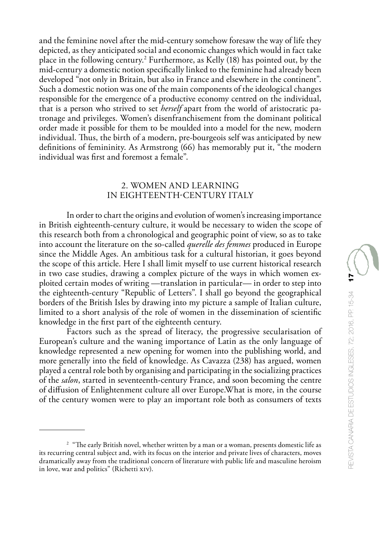and the feminine novel after the mid-century somehow foresaw the way of life they depicted, as they anticipated social and economic changes which would in fact take place in the following century.2 Furthermore, as Kelly (18) has pointed out, by the mid-century a domestic notion specifically linked to the feminine had already been developed "not only in Britain, but also in France and elsewhere in the continent". Such a domestic notion was one of the main components of the ideological changes responsible for the emergence of a productive economy centred on the individual, that is a person who strived to set *herself* apart from the world of aristocratic patronage and privileges. Women's disenfranchisement from the dominant political order made it possible for them to be moulded into a model for the new, modern individual. Thus, the birth of a modern, pre-bourgeois self was anticipated by new definitions of femininity. As Armstrong (66) has memorably put it, "the modern individual was first and foremost a female".

### 2. WOMEN AND LEARNING IN EIGHTEENTH-CENTURY ITALY

In order to chart the origins and evolution of women's increasing importance in British eighteenth-century culture, it would be necessary to widen the scope of this research both from a chronological and geographic point of view, so as to take into account the literature on the so-called *querelle des femmes* produced in Europe since the Middle Ages. An ambitious task for a cultural historian, it goes beyond the scope of this article. Here I shall limit myself to use current historical research in two case studies, drawing a complex picture of the ways in which women exploited certain modes of writing —translation in particular— in order to step into the eighteenth-century "Republic of Letters". I shall go beyond the geographical borders of the British Isles by drawing into my picture a sample of Italian culture, limited to a short analysis of the role of women in the dissemination of scientific knowledge in the first part of the eighteenth century.

Factors such as the spread of literacy, the progressive secularisation of European's culture and the waning importance of Latin as the only language of knowledge represented a new opening for women into the publishing world, and more generally into the field of knowledge. As Cavazza (238) has argued, women played a central role both by organising and participating in the socializing practices of the *salon*, started in seventeenth-century France, and soon becoming the centre of diffusion of Enlightenment culture all over Europe.What is more, in the course of the century women were to play an important role both as consumers of texts

<sup>&</sup>lt;sup>2</sup> "The early British novel, whether written by a man or a woman, presents domestic life as its recurring central subject and, with its focus on the interior and private lives of characters, moves dramatically away from the traditional concern of literature with public life and masculine heroism in love, war and politics" (Richetti xiv).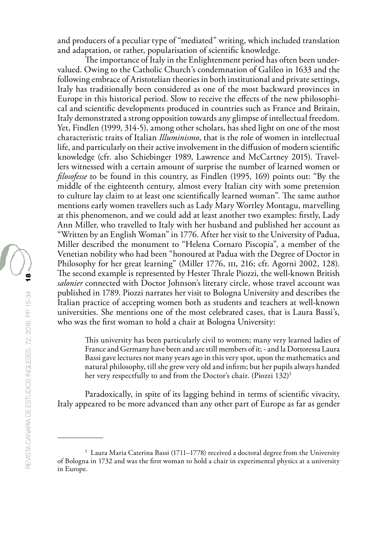and producers of a peculiar type of "mediated" writing, which included translation and adaptation, or rather, popularisation of scientific knowledge.

The importance of Italy in the Enlightenment period has often been undervalued. Owing to the Catholic Church's condemnation of Galileo in 1633 and the following embrace of Aristotelian theories in both institutional and private settings, Italy has traditionally been considered as one of the most backward provinces in Europe in this historical period. Slow to receive the effects of the new philosophical and scientific developments produced in countries such as France and Britain, Italy demonstrated a strong opposition towards any glimpse of intellectual freedom. Yet, Findlen (1999, 314-5), among other scholars, has shed light on one of the most characteristic traits of Italian *Illuminismo*, that is the role of women in intellectual life, and particularly on their active involvement in the diffusion of modern scientific knowledge (cfr. also Schiebinger 1989, Lawrence and McCartney 2015). Travellers witnessed with a certain amount of surprise the number of learned women or *filosofesse* to be found in this country, as Findlen (1995, 169) points out: "By the middle of the eighteenth century, almost every Italian city with some pretension to culture lay claim to at least one scientifically learned woman". The same author mentions early women travellers such as Lady Mary Wortley Montagu, marvelling at this phenomenon, and we could add at least another two examples: firstly, Lady Ann Miller, who travelled to Italy with her husband and published her account as "Written by an English Woman" in 1776. After her visit to the University of Padua, Miller described the monument to "Helena Cornaro Piscopia", a member of the Venetian nobility who had been "honoured at Padua with the Degree of Doctor in Philosophy for her great learning" (Miller 1776, III, 216; cfr. Agorni 2002, 128). The second example is represented by Hester Thrale Piozzi, the well-known British *salonier* connected with Doctor Johnson's literary circle, whose travel account was published in 1789. Piozzi narrates her visit to Bologna University and describes the Italian practice of accepting women both as students and teachers at well-known universities. She mentions one of the most celebrated cases, that is Laura Bassi's, who was the first woman to hold a chair at Bologna University:

This university has been particularly civil to women; many very learned ladies of France and Germany have been and are still members of it; - and la Dottoressa Laura Bassi gave lectures not many years ago in this very spot, upon the mathematics and natural philosophy, till she grew very old and infirm; but her pupils always handed her very respectfully to and from the Doctor's chair. (Piozzi 132)<sup>3</sup>

Paradoxically, in spite of its lagging behind in terms of scientific vivacity, Italy appeared to be more advanced than any other part of Europe as far as gender

<sup>&</sup>lt;sup>3</sup> Laura Maria Caterina Bassi (1711–1778) received a doctoral degree from the University of Bologna in 1732 and was the first woman to hold a chair in experimental physics at a university in Europe.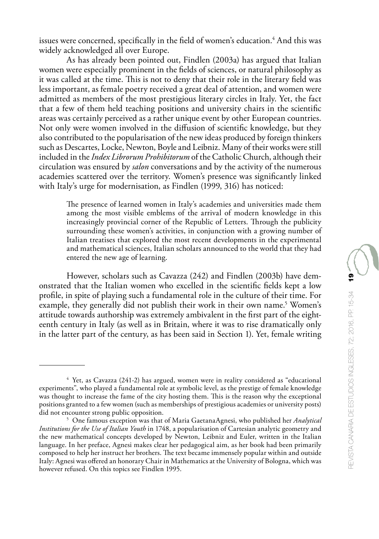issues were concerned, specifically in the field of women's education.<sup>4</sup> And this was widely acknowledged all over Europe.

As has already been pointed out, Findlen (2003a) has argued that Italian women were especially prominent in the fields of sciences, or natural philosophy as it was called at the time. This is not to deny that their role in the literary field was less important, as female poetry received a great deal of attention, and women were admitted as members of the most prestigious literary circles in Italy. Yet, the fact that a few of them held teaching positions and university chairs in the scientific areas was certainly perceived as a rather unique event by other European countries. Not only were women involved in the diffusion of scientific knowledge, but they also contributed to the popularisation of the new ideas produced by foreign thinkers such as Descartes, Locke, Newton, Boyle and Leibniz. Many of their works were still included in the *Index Librorum Prohibitorum* of the Catholic Church, although their circulation was ensured by *salon* conversations and by the activity of the numerous academies scattered over the territory. Women's presence was significantly linked with Italy's urge for modernisation, as Findlen (1999, 316) has noticed:

The presence of learned women in Italy's academies and universities made them among the most visible emblems of the arrival of modern knowledge in this increasingly provincial corner of the Republic of Letters. Through the publicity surrounding these women's activities, in conjunction with a growing number of Italian treatises that explored the most recent developments in the experimental and mathematical sciences, Italian scholars announced to the world that they had entered the new age of learning.

However, scholars such as Cavazza (242) and Findlen (2003b) have demonstrated that the Italian women who excelled in the scientific fields kept a low profile, in spite of playing such a fundamental role in the culture of their time. For example, they generally did not publish their work in their own name.<sup>5</sup> Women's attitude towards authorship was extremely ambivalent in the first part of the eighteenth century in Italy (as well as in Britain, where it was to rise dramatically only in the latter part of the century, as has been said in Section 1). Yet, female writing

<sup>4</sup> Yet, as Cavazza (241-2) has argued, women were in reality considered as "educational experiments", who played a fundamental role at symbolic level, as the prestige of female knowledge was thought to increase the fame of the city hosting them. This is the reason why the exceptional positions granted to a few women (such as memberships of prestigious academies or university posts) did not encounter strong public opposition.

<sup>5</sup> One famous exception was that of Maria GaetanaAgnesi, who published her *Analytical Institutions for the Use of Italian Youth* in 1748, a popularisation of Cartesian analytic geometry and the new mathematical concepts developed by Newton, Leibniz and Euler, written in the Italian language. In her preface, Agnesi makes clear her pedagogical aim, as her book had been primarily composed to help her instruct her brothers. The text became immensely popular within and outside Italy: Agnesi was offered an honorary Chair in Mathematics at the University of Bologna, which was however refused. On this topics see Findlen 1995.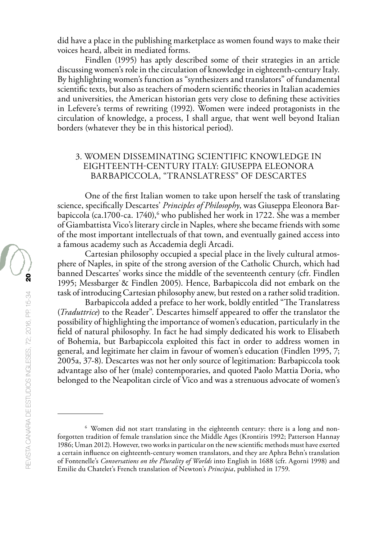did have a place in the publishing marketplace as women found ways to make their voices heard, albeit in mediated forms.

Findlen (1995) has aptly described some of their strategies in an article discussing women's role in the circulation of knowledge in eighteenth-century Italy. By highlighting women's function as "synthesizers and translators" of fundamental scientific texts, but also as teachers of modern scientific theories in Italian academies and universities, the American historian gets very close to defining these activities in Lefevere's terms of rewriting (1992). Women were indeed protagonists in the circulation of knowledge, a process, I shall argue, that went well beyond Italian borders (whatever they be in this historical period).

## 3. WOMEN DISSEMINATING SCIENTIFIC KNOWLEDGE IN EIGHTEENTH-CENTURY ITALY: GIUSEPPA ELEONORA BARBAPICCOLA, "TRANSLATRESS" OF DESCARTES

One of the first Italian women to take upon herself the task of translating science, specifically Descartes' *Principles of Philosophy*, was Giuseppa Eleonora Barbapiccola (ca.1700-ca. 1740), $^6$  who published her work in 1722. She was a member of Giambattista Vico's literary circle in Naples, where she became friends with some of the most important intellectuals of that town, and eventually gained access into a famous academy such as Accademia degli Arcadi.

Cartesian philosophy occupied a special place in the lively cultural atmosphere of Naples, in spite of the strong aversion of the Catholic Church, which had banned Descartes' works since the middle of the seventeenth century (cfr. Findlen 1995; Messbarger & Findlen 2005). Hence, Barbapiccola did not embark on the task of introducing Cartesian philosophy anew, but rested on a rather solid tradition.

Barbapiccola added a preface to her work, boldly entitled "The Translatress (*Traduttrice*) to the Reader". Descartes himself appeared to offer the translator the possibility of highlighting the importance of women's education, particularly in the field of natural philosophy. In fact he had simply dedicated his work to Elisabeth of Bohemia, but Barbapiccola exploited this fact in order to address women in general, and legitimate her claim in favour of women's education (Findlen 1995, 7; 2005a, 37-8). Descartes was not her only source of legitimation: Barbapiccola took advantage also of her (male) contemporaries, and quoted Paolo Mattia Doria, who belonged to the Neapolitan circle of Vico and was a strenuous advocate of women's

<sup>6</sup> Women did not start translating in the eighteenth century: there is a long and nonforgotten tradition of female translation since the Middle Ages (Krontiris 1992; Patterson Hannay 1986; Uman 2012). However, two works in particular on the new scientific methods must have exerted a certain influence on eighteenth-century women translators, and they are Aphra Behn's translation of Fontenelle's *Conversations on the Plurality of Worlds* into English in 1688 (cfr. Agorni 1998) and Emilie du Chatelet's French translation of Newton's *Principia*, published in 1759.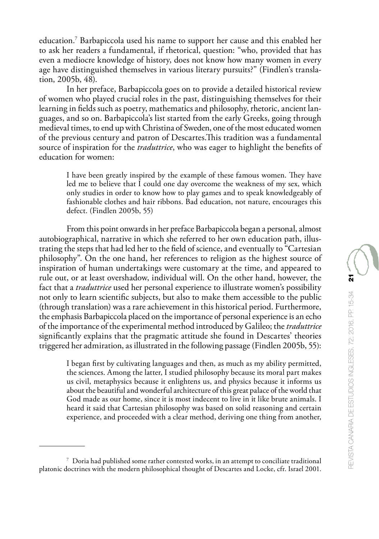In her preface, Barbapiccola goes on to provide a detailed historical review of women who played crucial roles in the past, distinguishing themselves for their learning in fields such as poetry, mathematics and philosophy, rhetoric, ancient languages, and so on. Barbapiccola's list started from the early Greeks, going through medieval times, to end up with Christina of Sweden, one of the most educated women of the previous century and patron of Descartes.This tradition was a fundamental source of inspiration for the *traduttrice*, who was eager to highlight the benefits of education for women:

I have been greatly inspired by the example of these famous women. They have led me to believe that I could one day overcome the weakness of my sex, which only studies in order to know how to play games and to speak knowledgeably of fashionable clothes and hair ribbons. Bad education, not nature, encourages this defect. (Findlen 2005b, 55)

From this point onwards in her preface Barbapiccola began a personal, almost autobiographical, narrative in which she referred to her own education path, illustrating the steps that had led her to the field of science, and eventually to "Cartesian philosophy". On the one hand, her references to religion as the highest source of inspiration of human undertakings were customary at the time, and appeared to rule out, or at least overshadow, individual will. On the other hand, however, the fact that a *traduttrice* used her personal experience to illustrate women's possibility not only to learn scientific subjects, but also to make them accessible to the public (through translation) was a rare achievement in this historical period. Furthermore, the emphasis Barbapiccola placed on the importance of personal experience is an echo of the importance of the experimental method introduced by Galileo; the *traduttrice* significantly explains that the pragmatic attitude she found in Descartes' theories triggered her admiration, as illustrated in the following passage (Findlen 2005b, 55):

I began first by cultivating languages and then, as much as my ability permitted, the sciences. Among the latter, I studied philosophy because its moral part makes us civil, metaphysics because it enlightens us, and physics because it informs us about the beautiful and wonderful architecture of this great palace of the world that God made as our home, since it is most indecent to live in it like brute animals. I heard it said that Cartesian philosophy was based on solid reasoning and certain experience, and proceeded with a clear method, deriving one thing from another,

<sup>7</sup> Doria had published some rather contested works, in an attempt to conciliate traditional platonic doctrines with the modern philosophical thought of Descartes and Locke, cfr. Israel 2001.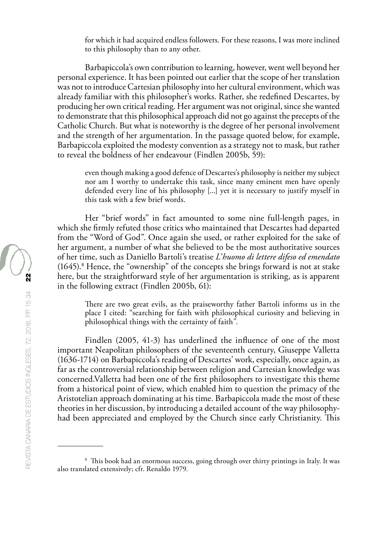for which it had acquired endless followers. For these reasons, I was more inclined to this philosophy than to any other.

Barbapiccola's own contribution to learning, however, went well beyond her personal experience. It has been pointed out earlier that the scope of her translation was not to introduce Cartesian philosophy into her cultural environment, which was already familiar with this philosopher's works. Rather, she redefined Descartes, by producing her own critical reading. Her argument was not original, since she wanted to demonstrate that this philosophical approach did not go against the precepts of the Catholic Church. But what is noteworthy is the degree of her personal involvement and the strength of her argumentation. In the passage quoted below, for example, Barbapiccola exploited the modesty convention as a strategy not to mask, but rather to reveal the boldness of her endeavour (Findlen 2005b, 59):

even though making a good defence of Descartes's philosophy is neither my subject nor am I worthy to undertake this task, since many eminent men have openly defended every line of his philosophy [...] yet it is necessary to justify myself in this task with a few brief words.

Her "brief words" in fact amounted to some nine full-length pages, in which she firmly refuted those critics who maintained that Descartes had departed from the "Word of God". Once again she used, or rather exploited for the sake of her argument, a number of what she believed to be the most authoritative sources of her time, such as Daniello Bartoli's treatise *L'huomo di lettere difeso ed emendato* (1645).8 Hence, the "ownership" of the concepts she brings forward is not at stake here, but the straightforward style of her argumentation is striking, as is apparent in the following extract (Findlen 2005b, 61):

There are two great evils, as the praiseworthy father Bartoli informs us in the place I cited: "searching for faith with philosophical curiosity and believing in philosophical things with the certainty of faith".

Findlen (2005, 41-3) has underlined the influence of one of the most important Neapolitan philosophers of the seventeenth century, Giuseppe Valletta (1636-1714) on Barbapiccola's reading of Descartes' work, especially, once again, as far as the controversial relationship between religion and Cartesian knowledge was concerned.Valletta had been one of the first philosophers to investigate this theme from a historical point of view, which enabled him to question the primacy of the Aristotelian approach dominating at his time. Barbapiccola made the most of these theories in her discussion, by introducing a detailed account of the way philosophyhad been appreciated and employed by the Church since early Christianity. This

<sup>&</sup>lt;sup>8</sup> This book had an enormous success, going through over thirty printings in Italy. It was also translated extensively; cfr. Renaldo 1979.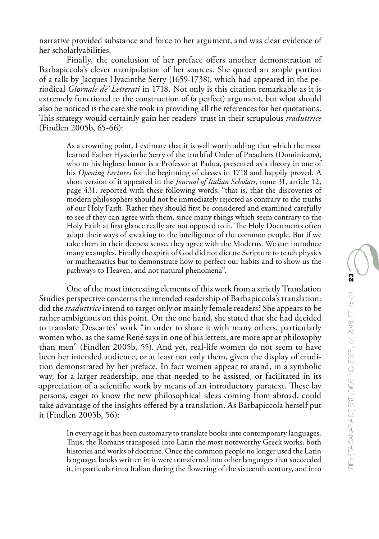Finally, the conclusion of her preface offers another demonstration of Barbapiccola's clever manipulation of her sources. She quoted an ample portion of a talk by Jacques Hyacinthe Serry (1659-1738), which had appeared in the periodical *Giornale de' Letterati* in 1718. Not only is this citation remarkable as it is extremely functional to the construction of (a perfect) argument, but what should also be noticed is the care she took in providing all the references for her quotations. This strategy would certainly gain her readers' trust in their scrupulous *traduttrice* (Findlen 2005b, 65-66):

As a crowning point, I estimate that it is well worth adding that which the most learned Father Hyacinthe Serry of the truthful Order of Preachers (Dominicans), who to his highest honor is a Professor at Padua, presented as a theory in one of his *Opening Lectures* for the beginning of classes in 1718 and happily proved. A short version of it appeared in the *Journal of Italian Scholars*, tome 31, article 12, page 431, reported with these following words: "that is, that the discoveries of modern philosophers should not be immediately rejected as contrary to the truths of our Holy Faith. Rather they should first be considered and examined carefully to see if they can agree with them, since many things which seem contrary to the Holy Faith at first glance really are not opposed to it. The Holy Documents often adapt their ways of speaking to the intelligence of the common people. But if we take them in their deepest sense, they agree with the Moderns. We can introduce many examples. Finally the spirit of God did not dictate Scripture to teach physics or mathematics but to demonstrate how to perfect our habits and to show us the pathways to Heaven, and not natural phenomena".

One of the most interesting elements of this work from a strictly Translation Studies perspective concerns the intended readership of Barbapiccola's translation: did the *traduttrice* intend to target only or mainly female readers? She appears to be rather ambiguous on this point. On the one hand, she stated that she had decided to translate Descartes' work "in order to share it with many others, particularly women who, as the same René says in one of his letters, are more apt at philosophy than men" (Findlen 2005b, 55). And yet, real-life women do not seem to have been her intended audience, or at least not only them, given the display of erudition demonstrated by her preface. In fact women appear to stand, in a symbolic way, for a larger readership, one that needed to be assisted, or facilitated in its appreciation of a scientific work by means of an introductory paratext. These lay persons, eager to know the new philosophical ideas coming from abroad, could take advantage of the insights offered by a translation. As Barbapiccola herself put it (Findlen 2005b, 56):

In every age it has been customary to translate books into contemporary languages. Thus, the Romans transposed into Latin the most noteworthy Greek works, both histories and works of doctrine. Once the common people no longer used the Latin language, books written in it were transferred into other languages that succeeded it, in particular into Italian during the flowering of the sixteenth century, and into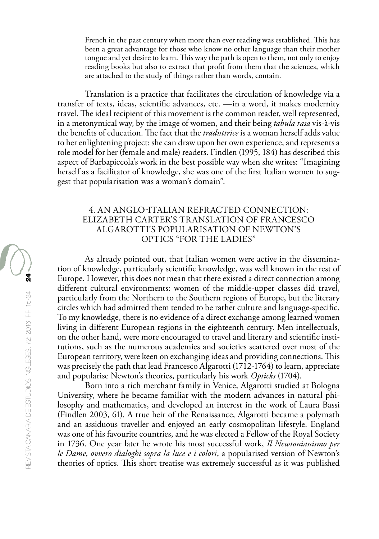French in the past century when more than ever reading was established. This has been a great advantage for those who know no other language than their mother tongue and yet desire to learn. This way the path is open to them, not only to enjoy reading books but also to extract that profit from them that the sciences, which are attached to the study of things rather than words, contain.

Translation is a practice that facilitates the circulation of knowledge via a transfer of texts, ideas, scientific advances, etc. —in a word, it makes modernity travel. The ideal recipient of this movement is the common reader, well represented, in a metonymical way, by the image of women, and their being *tabula rasa* vis-à-vis the benefits of education. The fact that the *traduttrice* is a woman herself adds value to her enlightening project: she can draw upon her own experience, and represents a role model for her (female and male) readers. Findlen (1995, 184) has described this aspect of Barbapiccola's work in the best possible way when she writes: "Imagining herself as a facilitator of knowledge, she was one of the first Italian women to suggest that popularisation was a woman's domain".

### 4. AN ANGLO-ITALIAN REFRACTED CONNECTION: ELIZABETH CARTER'S TRANSLATION OF FRANCESCO ALGAROTTI'S POPULARISATION OF NEWTON'S OPTICS "FOR THE LADIES"

As already pointed out, that Italian women were active in the dissemination of knowledge, particularly scientific knowledge, was well known in the rest of Europe. However, this does not mean that there existed a direct connection among different cultural environments: women of the middle-upper classes did travel, particularly from the Northern to the Southern regions of Europe, but the literary circles which had admitted them tended to be rather culture and language-specific. To my knowledge, there is no evidence of a direct exchange among learned women living in different European regions in the eighteenth century. Men intellectuals, on the other hand, were more encouraged to travel and literary and scientific institutions, such as the numerous academies and societies scattered over most of the European territory, were keen on exchanging ideas and providing connections. This was precisely the path that lead Francesco Algarotti (1712-1764) to learn, appreciate and popularise Newton's theories, particularly his work *Opticks* (1704).

Born into a rich merchant family in Venice, Algarotti studied at Bologna University, where he became familiar with the modern advances in natural philosophy and mathematics, and developed an interest in the work of Laura Bassi (Findlen 2003, 61). A true heir of the Renaissance, Algarotti became a polymath and an assiduous traveller and enjoyed an early cosmopolitan lifestyle. England was one of his favourite countries, and he was elected a Fellow of the Royal Society in 1736. One year later he wrote his most successful work, *Il Newtonianismo per le Dame*, *ovvero dialoghi sopra la luce e i colori*, a popularised version of Newton's theories of optics. This short treatise was extremely successful as it was published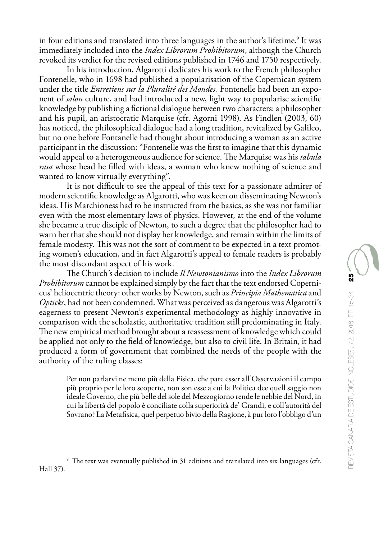in four editions and translated into three languages in the author's lifetime.<sup>9</sup> It was immediately included into the *Index Librorum Prohibitorum*, although the Church revoked its verdict for the revised editions published in 1746 and 1750 respectively.

In his introduction, Algarotti dedicates his work to the French philosopher Fontenelle, who in 1698 had published a popularisation of the Copernican system under the title *Entretiens sur la Pluralité des Mondes.* Fontenelle had been an exponent of *salon* culture, and had introduced a new, light way to popularise scientific knowledge by publishing a fictional dialogue between two characters: a philosopher and his pupil, an aristocratic Marquise (cfr. Agorni 1998). As Findlen (2003, 60) has noticed, the philosophical dialogue had a long tradition, revitalized by Galileo, but no one before Fontanelle had thought about introducing a woman as an active participant in the discussion: "Fontenelle was the first to imagine that this dynamic would appeal to a heterogeneous audience for science. The Marquise was his *tabula rasa* whose head he filled with ideas, a woman who knew nothing of science and wanted to know virtually everything".

It is not difficult to see the appeal of this text for a passionate admirer of modern scientific knowledge as Algarotti, who was keen on disseminating Newton's ideas. His Marchioness had to be instructed from the basics, as she was not familiar even with the most elementary laws of physics. However, at the end of the volume she became a true disciple of Newton, to such a degree that the philosopher had to warn her that she should not display her knowledge, and remain within the limits of female modesty. This was not the sort of comment to be expected in a text promoting women's education, and in fact Algarotti's appeal to female readers is probably the most discordant aspect of his work.

The Church's decision to include *Il Newtonianismo* into the *Index Librorum Prohibitorum* cannot be explained simply by the fact that the text endorsed Copernicus' heliocentric theory: other works by Newton, such as *Principia Mathematica* and *Opticks*, had not been condemned. What was perceived as dangerous was Algarotti's eagerness to present Newton's experimental methodology as highly innovative in comparison with the scholastic, authoritative tradition still predominating in Italy. The new empirical method brought about a reassessment of knowledge which could be applied not only to the field of knowledge, but also to civil life. In Britain, it had produced a form of government that combined the needs of the people with the authority of the ruling classes:

Per non parlarvi ne meno più della Fisica, che pare esser all'Osservazioni il campo più proprio per le loro scoperte, non son esse a cui la Politica dee quell saggio non ideale Governo, che più belle del sole del Mezzogiorno rende le nebbie del Nord, in cui la libertà del popolo è conciliate colla superiorità de' Grandi, e coll'autorità del Sovrano? La Metafisica, quel perpetuo bivio della Ragione, à pur loro l'obbligo d'un

<sup>9</sup> The text was eventually published in 31 editions and translated into six languages (cfr. Hall 37).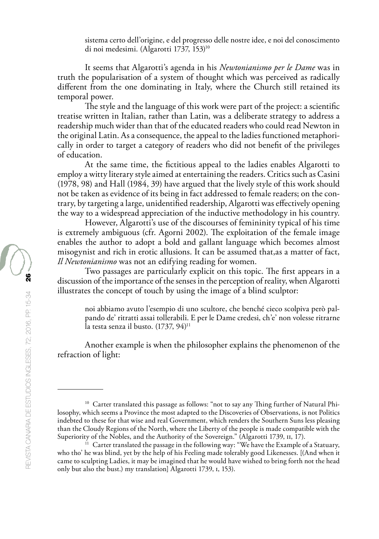sistema certo dell'origine, e del progresso delle nostre idee, e noi del conoscimento di noi medesimi. (Algarotti 1737, 153)<sup>10</sup>

It seems that Algarotti's agenda in his *Newtonianismo per le Dame* was in truth the popularisation of a system of thought which was perceived as radically different from the one dominating in Italy, where the Church still retained its temporal power.

The style and the language of this work were part of the project: a scientific treatise written in Italian, rather than Latin, was a deliberate strategy to address a readership much wider than that of the educated readers who could read Newton in the original Latin. As a consequence, the appeal to the ladies functioned metaphorically in order to target a category of readers who did not benefit of the privileges of education.

At the same time, the fictitious appeal to the ladies enables Algarotti to employ a witty literary style aimed at entertaining the readers. Critics such as Casini (1978, 98) and Hall (1984, 39) have argued that the lively style of this work should not be taken as evidence of its being in fact addressed to female readers; on the contrary, by targeting a large, unidentified readership, Algarotti was effectively opening the way to a widespread appreciation of the inductive methodology in his country.

However, Algarotti's use of the discourses of femininity typical of his time is extremely ambiguous (cfr. Agorni 2002). The exploitation of the female image enables the author to adopt a bold and gallant language which becomes almost misogynist and rich in erotic allusions. It can be assumed that,as a matter of fact, *Il Newtonianismo* was not an edifying reading for women.

Two passages are particularly explicit on this topic. The first appears in a discussion of the importance of the senses in the perception of reality, when Algarotti illustrates the concept of touch by using the image of a blind sculptor:

noi abbiamo avuto l'esempio di uno scultore, che benché cieco scolpiva però palpando de' ritratti assai tollerabili. E per le Dame credesi, ch'e' non volesse ritrarne la testa senza il busto.  $(1737, 94)^{11}$ 

Another example is when the philosopher explains the phenomenon of the refraction of light:

<sup>&</sup>lt;sup>10</sup> Carter translated this passage as follows: "not to say any Thing further of Natural Philosophy, which seems a Province the most adapted to the Discoveries of Observations, is not Politics indebted to these for that wise and real Government, which renders the Southern Suns less pleasing than the Cloudy Regions of the North, where the Liberty of the people is made compatible with the Superiority of the Nobles, and the Authority of the Sovereign." (Algarotti 1739, II, 17).

<sup>&</sup>lt;sup>11</sup> Carter translated the passage in the following way: "We have the Example of a Statuary, who tho' he was blind, yet by the help of his Feeling made tolerably good Likenesses. [(And when it came to sculpting Ladies, it may be imagined that he would have wished to bring forth not the head only but also the bust.) my translation] Algarotti 1739, i, 153).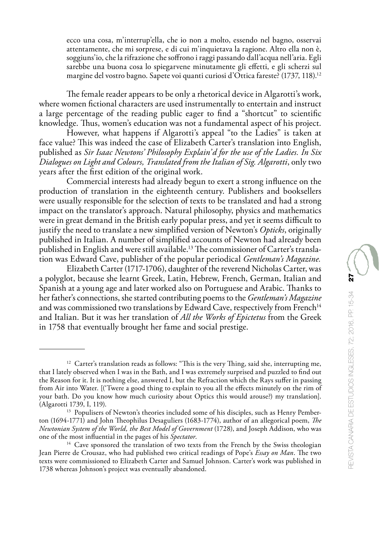The female reader appears to be only a rhetorical device in Algarotti's work, where women fictional characters are used instrumentally to entertain and instruct a large percentage of the reading public eager to find a "shortcut" to scientific knowledge. Thus, women's education was not a fundamental aspect of his project.

However, what happens if Algarotti's appeal "to the Ladies" is taken at face value? This was indeed the case of Elizabeth Carter's translation into English, published as *Sir Isaac Newtons' Philosophy Explain'd for the use of the Ladies. In Six Dialogues on Light and Colours, Translated from the Italian of Sig. Algarotti*, only two years after the first edition of the original work.

Commercial interests had already begun to exert a strong influence on the production of translation in the eighteenth century. Publishers and booksellers were usually responsible for the selection of texts to be translated and had a strong impact on the translator's approach. Natural philosophy, physics and mathematics were in great demand in the British early popular press, and yet it seems difficult to justify the need to translate a new simplified version of Newton's *Opticks*, originally published in Italian. A number of simplified accounts of Newton had already been published in English and were still available.13 The commissioner of Carter's translation was Edward Cave, publisher of the popular periodical *Gentleman's Magazine.*

Elizabeth Carter (1717-1706), daughter of the reverend Nicholas Carter, was a polyglot, because she learnt Greek, Latin, Hebrew, French, German, Italian and Spanish at a young age and later worked also on Portuguese and Arabic. Thanks to her father's connections, she started contributing poems to the *Gentleman's Magazine* and was commissioned two translations by Edward Cave, respectively from French<sup>14</sup> and Italian. But it was her translation of *All the Works of Epictetus* from the Greek in 1758 that eventually brought her fame and social prestige.

<sup>&</sup>lt;sup>12</sup> Carter's translation reads as follows: "This is the very Thing, said she, interrupting me, that I lately observed when I was in the Bath, and I was extremely surprised and puzzled to find out the Reason for it. It is nothing else, answered I, but the Refraction which the Rays suffer in passing from Air into Water. [('Twere a good thing to explain to you all the effects minutely on the rim of your bath. Do you know how much curiosity about Optics this would arouse?) my translation]. (Algarotti 1739, I, 119).

<sup>&</sup>lt;sup>13</sup> Populisers of Newton's theories included some of his disciples, such as Henry Pemberton (1694-1771) and John Theophilus Desaguliers (1683-1774), author of an allegorical poem, *The Newtonian System of the World, the Best Model of Government* (1728), and Joseph Addison, who was one of the most influential in the pages of his *Spectator*.

<sup>&</sup>lt;sup>14</sup> Cave sponsored the translation of two texts from the French by the Swiss theologian Jean Pierre de Crousaz, who had published two critical readings of Pope's *Essay on Man*. The two texts were commissioned to Elizabeth Carter and Samuel Johnson. Carter's work was published in 1738 whereas Johnson's project was eventually abandoned.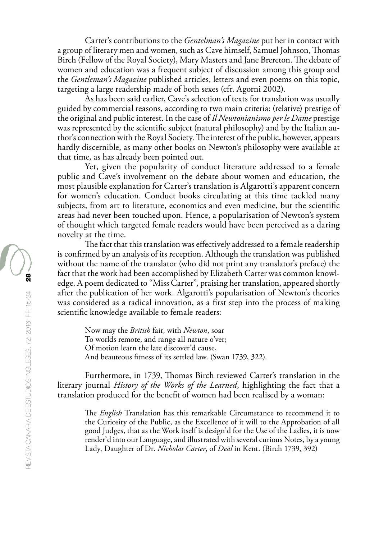Carter's contributions to the *Gentelman's Magazine* put her in contact with a group of literary men and women, such as Cave himself, Samuel Johnson, Thomas Birch (Fellow of the Royal Society), Mary Masters and Jane Brereton. The debate of women and education was a frequent subject of discussion among this group and the *Gentleman's Magazine* published articles, letters and even poems on this topic, targeting a large readership made of both sexes (cfr. Agorni 2002).

As has been said earlier, Cave's selection of texts for translation was usually guided by commercial reasons, according to two main criteria: (relative) prestige of the original and public interest. In the case of *Il Newtonianismo per le Dame* prestige was represented by the scientific subject (natural philosophy) and by the Italian author's connection with the Royal Society. The interest of the public, however, appears hardly discernible, as many other books on Newton's philosophy were available at that time, as has already been pointed out.

Yet, given the popularity of conduct literature addressed to a female public and Cave's involvement on the debate about women and education, the most plausible explanation for Carter's translation is Algarotti's apparent concern for women's education. Conduct books circulating at this time tackled many subjects, from art to literature, economics and even medicine, but the scientific areas had never been touched upon. Hence, a popularisation of Newton's system of thought which targeted female readers would have been perceived as a daring novelty at the time.

The fact that this translation was effectively addressed to a female readership is confirmed by an analysis of its reception. Although the translation was published without the name of the translator (who did not print any translator's preface) the fact that the work had been accomplished by Elizabeth Carter was common knowledge. A poem dedicated to "Miss Carter", praising her translation, appeared shortly after the publication of her work. Algarotti's popularisation of Newton's theories was considered as a radical innovation, as a first step into the process of making scientific knowledge available to female readers:

Now may the *British* fair, with *Newton*, soar To worlds remote, and range all nature o'ver; Of motion learn the late discover'd cause, And beauteous fitness of its settled law. (Swan 1739, 322).

Furthermore, in 1739, Thomas Birch reviewed Carter's translation in the literary journal *History of the Works of the Learned*, highlighting the fact that a translation produced for the benefit of women had been realised by a woman:

The *English* Translation has this remarkable Circumstance to recommend it to the Curiosity of the Public, as the Excellence of it will to the Approbation of all good Judges, that as the Work itself is design'd for the Use of the Ladies, it is now render'd into our Language, and illustrated with several curious Notes, by a young Lady, Daughter of Dr. *Nicholas Carter*, of *Deal* in Kent. (Birch 1739, 392)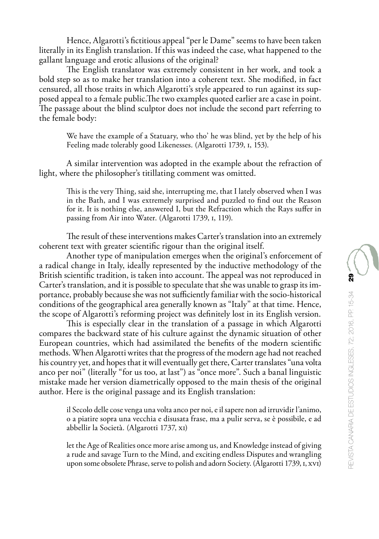Hence, Algarotti's fictitious appeal "per le Dame" seems to have been taken literally in its English translation. If this was indeed the case, what happened to the gallant language and erotic allusions of the original?

The English translator was extremely consistent in her work, and took a bold step so as to make her translation into a coherent text. She modified, in fact censured, all those traits in which Algarotti's style appeared to run against its supposed appeal to a female public.The two examples quoted earlier are a case in point. The passage about the blind sculptor does not include the second part referring to the female body:

We have the example of a Statuary, who tho' he was blind, yet by the help of his Feeling made tolerably good Likenesses. (Algarotti 1739, i, 153).

A similar intervention was adopted in the example about the refraction of light, where the philosopher's titillating comment was omitted.

This is the very Thing, said she, interrupting me, that I lately observed when I was in the Bath, and I was extremely surprised and puzzled to find out the Reason for it. It is nothing else, answered I, but the Refraction which the Rays suffer in passing from Air into Water. (Algarotti 1739, i, 119).

The result of these interventions makes Carter's translation into an extremely coherent text with greater scientific rigour than the original itself.

Another type of manipulation emerges when the original's enforcement of a radical change in Italy, ideally represented by the inductive methodology of the British scientific tradition, is taken into account. The appeal was not reproduced in Carter's translation, and it is possible to speculate that she was unable to grasp its importance, probably because she was not sufficiently familiar with the socio-historical conditions of the geographical area generally known as "Italy" at that time. Hence, the scope of Algarotti's reforming project was definitely lost in its English version.

This is especially clear in the translation of a passage in which Algarotti compares the backward state of his culture against the dynamic situation of other European countries, which had assimilated the benefits of the modern scientific methods. When Algarotti writes that the progress of the modern age had not reached his country yet, and hopes that it will eventually get there, Carter translates "una volta anco per noi" (literally "for us too, at last") as "once more". Such a banal linguistic mistake made her version diametrically opposed to the main thesis of the original author. Here is the original passage and its English translation:

il Secolo delle cose venga una volta anco per noi, e il sapere non ad irruvidir l'animo, o a piatire sopra una vecchia e disusata frase, ma a pulir serva, se è possibile, e ad abbellir la Società. (Algarotti 1737, xi)

let the Age of Realities once more arise among us, and Knowledge instead of giving a rude and savage Turn to the Mind, and exciting endless Disputes and wrangling upon some obsolete Phrase, serve to polish and adorn Society. (Algarotti 1739, i, xvi)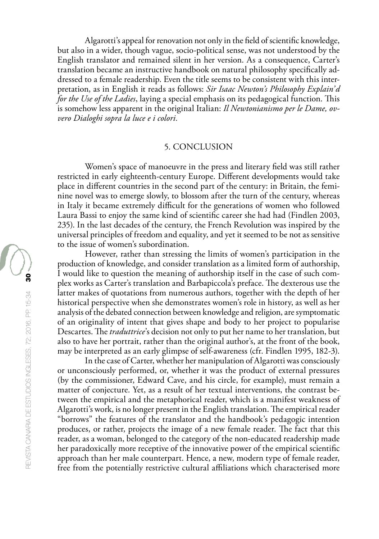Algarotti's appeal for renovation not only in the field of scientific knowledge, but also in a wider, though vague, socio-political sense, was not understood by the English translator and remained silent in her version. As a consequence, Carter's translation became an instructive handbook on natural philosophy specifically addressed to a female readership. Even the title seems to be consistent with this interpretation, as in English it reads as follows: *Sir Isaac Newton's Philosophy Explain'd for the Use of the Ladies*, laying a special emphasis on its pedagogical function. This is somehow less apparent in the original Italian: *Il Newtonianismo per le Dame, ovvero Dialoghi sopra la luce e i colori.*

#### 5. CONCLUSION

Women's space of manoeuvre in the press and literary field was still rather restricted in early eighteenth-century Europe. Different developments would take place in different countries in the second part of the century: in Britain, the feminine novel was to emerge slowly, to blossom after the turn of the century, whereas in Italy it became extremely difficult for the generations of women who followed Laura Bassi to enjoy the same kind of scientific career she had had (Findlen 2003, 235). In the last decades of the century, the French Revolution was inspired by the universal principles of freedom and equality, and yet it seemed to be not as sensitive to the issue of women's subordination.

However, rather than stressing the limits of women's participation in the production of knowledge, and consider translation as a limited form of authorship, I would like to question the meaning of authorship itself in the case of such complex works as Carter's translation and Barbapiccola's preface. The dexterous use the latter makes of quotations from numerous authors, together with the depth of her historical perspective when she demonstrates women's role in history, as well as her analysis of the debated connection between knowledge and religion, are symptomatic of an originality of intent that gives shape and body to her project to popularise Descartes. The *traduttrice*'s decision not only to put her name to her translation, but also to have her portrait, rather than the original author's, at the front of the book, may be interpreted as an early glimpse of self-awareness (cfr. Findlen 1995, 182-3).

In the case of Carter, whether her manipulation of Algarotti was consciously or unconsciously performed, or, whether it was the product of external pressures (by the commissioner, Edward Cave, and his circle, for example), must remain a matter of conjecture. Yet, as a result of her textual interventions, the contrast between the empirical and the metaphorical reader, which is a manifest weakness of Algarotti's work, is no longer present in the English translation. The empirical reader "borrows" the features of the translator and the handbook's pedagogic intention produces, or rather, projects the image of a new female reader. The fact that this reader, as a woman, belonged to the category of the non-educated readership made her paradoxically more receptive of the innovative power of the empirical scientific approach than her male counterpart. Hence, a new, modern type of female reader, free from the potentially restrictive cultural affiliations which characterised more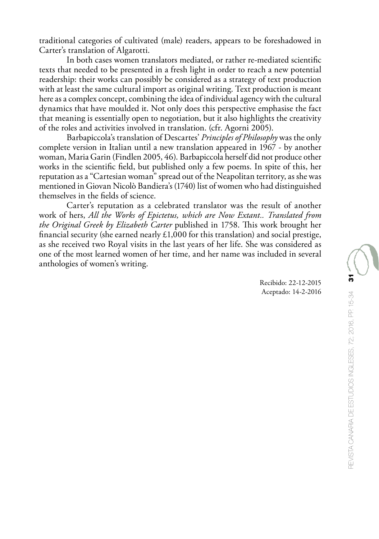traditional categories of cultivated (male) readers, appears to be foreshadowed in Carter's translation of Algarotti.

In both cases women translators mediated, or rather re-mediated scientific texts that needed to be presented in a fresh light in order to reach a new potential readership: their works can possibly be considered as a strategy of text production with at least the same cultural import as original writing. Text production is meant here as a complex concept, combining the idea of individual agency with the cultural dynamics that have moulded it. Not only does this perspective emphasise the fact that meaning is essentially open to negotiation, but it also highlights the creativity of the roles and activities involved in translation. (cfr. Agorni 2005).

Barbapiccola's translation of Descartes' *Principles of Philosophy* was the only complete version in Italian until a new translation appeared in 1967 - by another woman, Maria Garin (Findlen 2005, 46). Barbapiccola herself did not produce other works in the scientific field, but published only a few poems. In spite of this, her reputation as a "Cartesian woman" spread out of the Neapolitan territory, as she was mentioned in Giovan Nicolò Bandiera's (1740) list of women who had distinguished themselves in the fields of science.

Carter's reputation as a celebrated translator was the result of another work of hers, *All the Works of Epictetus, which are Now Extant.. Translated from the Original Greek by Elizabeth Carter* published in 1758. This work brought her financial security (she earned nearly  $£1,000$  for this translation) and social prestige, as she received two Royal visits in the last years of her life. She was considered as one of the most learned women of her time, and her name was included in several anthologies of women's writing.

> Recibido: 22-12-2015 Aceptado: 14-2-2016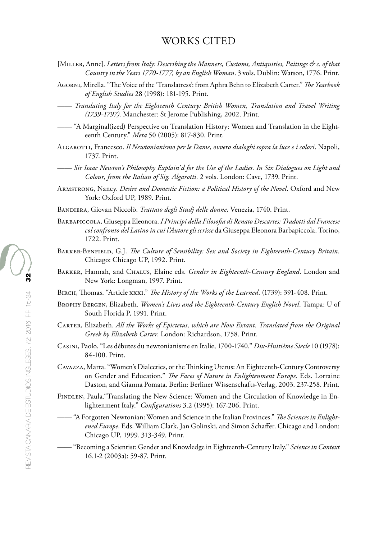# WORKS CITED

- [Miller, Anne]. *Letters from Italy: Describing the Manners, Customs, Antiquities, Paitings & c. of that Country in the Years 1770-1777, by an English Woman*. 3 vols. Dublin: Watson, 1776. Print.
- Agorni, Mirella. "The Voice of the 'Translatress': from Aphra Behn to Elizabeth Carter." *The Yearbook of English Studies* 28 (1998): 181-195. Print.

—— *Translating Italy for the Eighteenth Century: British Women, Translation and Travel Writing (1739-1797)*. Manchester: St Jerome Publishing, 2002. Print.

—— "A Marginal(ized) Perspective on Translation History: Women and Translation in the Eighteenth Century." *Meta* 50 (2005): 817-830. Print.

Algarotti, Francesco. *Il Newtonianismo per le Dame*, *ovvero dialoghi sopra la luce e i colori*. Napoli, 1737. Print.

- —— *Sir Isaac Newton's Philosophy Explain'd for the Use of the Ladies. In Six Dialogues on Light and Colour, from the Italian of Sig. Algarotti*. 2 vols. London: Cave, 1739. Print.
- Armstrong, Nancy. *Desire and Domestic Fiction: a Political History of the Novel*. Oxford and New York: Oxford UP, 1989. Print.
- Bandiera, Giovan Niccolò. *Trattato degli Studj delle donne,* Venezia, 1740. Print.
- Barbapiccola, Giuseppa Eleonora. *I Principi della Filosofia di Renato Descartes: Tradotti dal Francese col confronto del Latino in cui l'Autore gli scrisse* da Giuseppa Eleonora Barbapiccola. Torino, 1722. Print.
- Barker-Benfield, G.J. *The Culture of Sensibility: Sex and Society in Eighteenth-Century Britain*. Chicago: Chicago UP, 1992. Print.
- Barker, Hannah, and Chalus, Elaine eds. *Gender in Eighteenth-Century England*. London and New York: Longman, 1997. Print.
- Birch, Thomas. "Article xxxi." *The History of the Works of the Learned*. (1739): 391-408. Print.
- Brophy Bergen, Elizabeth. *Women's Lives and the Eighteenth-Century English Novel*. Tampa: U of South Florida P, 1991. Print.
- Carter, Elizabeth. *All the Works of Epictetus, which are Now Extant. Translated from the Original Greek by Elizabeth Carter*. London: Richardson, 1758. Print.
- Casini, Paolo. "Les débutes du newtonianisme en Italie, 1700-1740." *Dix-Huitième Siecle* 10 (1978): 84-100. Print.
- Cavazza, Marta. "Women's Dialectics, or the Thinking Uterus: An Eighteenth-Century Controversy on Gender and Education." *The Faces of Nature in Enlightenment Europe*. Eds. Lorraine Daston, and Gianna Pomata. Berlin: Berliner Wissenschafts-Verlag, 2003. 237-258. Print.
- FINDLEN, Paula."Translating the New Science: Women and the Circulation of Knowledge in Enlightenment Italy." *Configurations* 3.2 (1995): 167-206. Print.
	- —— "A Forgotten Newtonian: Women and Science in the Italian Provinces." *The Sciences in Enlightened Europe*. Eds. William Clark, Jan Golinski, and Simon Schaffer. Chicago and London: Chicago UP, 1999. 313-349. Print.
	- —— "Becoming a Scientist: Gender and Knowledge in Eighteenth-Century Italy." *Science in Context* 16.1-2 (2003a): 59-87. Print.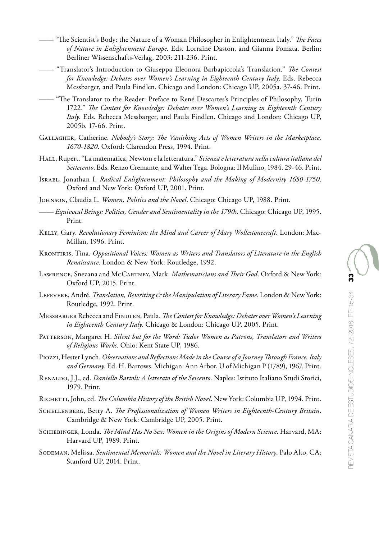- —— "The Scientist's Body: the Nature of a Woman Philosopher in Enlightenment Italy." *The Faces of Nature in Enlightenment Europe*. Eds. Lorraine Daston, and Gianna Pomata. Berlin: Berliner Wissenschafts-Verlag, 2003: 211-236. Print.
- —— "Translator's Introduction to Giuseppa Eleonora Barbapiccola's Translation." *The Contest for Knowledge: Debates over Women's Learning in Eighteenth Century Italy*. Eds. Rebecca Messbarger, and Paula Findlen. Chicago and London: Chicago UP, 2005a. 37-46. Print.
- —— "The Translator to the Reader: Preface to René Descartes's Principles of Philosophy, Turin 1722." *The Contest for Knowledge: Debates over Women's Learning in Eighteenth Century Italy*. Eds. Rebecca Messbarger, and Paula Findlen. Chicago and London: Chicago UP, 2005b. 17-66. Print.
- Gallagher, Catherine. *Nobody's Story: The Vanishing Acts of Women Writers in the Marketplace, 1670-1820*. Oxford: Clarendon Press, 1994. Print.
- HALL, Rupert. "La matematica, Newton e la letteratura." *Scienza e letteratura nella cultura italiana del Settecento*. Eds. Renzo Cremante, and Walter Tega. Bologna: Il Mulino, 1984. 29-46. Print.
- Israel, Jonathan I. *Radical Enlightenment: Philosophy and the Making of Modernity 1650-1750*. Oxford and New York: Oxford UP, 2001. Print.
- Johnson, Claudia L. *Women, Politics and the Novel*. Chicago: Chicago UP, 1988. Print.
- —— *Equivocal Beings: Politics, Gender and Sentimentality in the 1790s*. Chicago: Chicago UP, 1995. Print.
- Kelly, Gary. *Revolutionary Feminism: the Mind and Career of Mary Wollestonecraft.* London: Mac-Millan, 1996. Print.
- Krontiris, Tina. *Oppositional Voices: Women as Writers and Translators of Literature in the English Renaissance*. London & New York: Routledge, 1992.
- Lawrence, Snezana and McCartney, Mark. *Mathematicians and Their God*. Oxford & New York: Oxford UP, 2015. Print.
- Lefevere, André. *Translation, Rewriting & the Manipulation of Literary Fame*. London & New York: Routledge, 1992. Print.
- Messbarger Rebecca and Findlen, Paula. *The Contest for Knowledge: Debates over Women's Learning in Eighteenth Century Italy*. Chicago & London: Chicago UP, 2005. Print.
- Patterson, Margaret H. *Silent but for the Word: Tudor Women as Patrons, Translators and Writers of Religious Works*. Ohio: Kent State UP, 1986.
- Piozzi, Hester Lynch. *Observations and Reflections Made in the Course of a Journey Through France, Italy and Germany*. Ed. H. Barrows. Michigan: Ann Arbor, U of Michigan P (1789), 1967. Print.
- Renaldo, J.J., ed. *Daniello Bartoli: A letterato of the Seicento*. Naples: Istituto Italiano Studi Storici, 1979. Print.
- Richetti, John, ed. *The Columbia History of the British Novel*. New York: Columbia UP, 1994. Print.
- Schellenberg, Betty A. *The Professionalization of Women Writers in Eighteenth-Century Britain*. Cambridge & New York: Cambridge UP, 2005. Print.
- Schiebinger, Londa. *The Mind Has No Sex: Women in the Origins of Modern Science*. Harvard, MA: Harvard UP, 1989. Print.
- Sodeman, Melissa. *Sentimental Memorials: Women and the Novel in Literary History*. Palo Alto, CA: Stanford UP, 2014. Print.